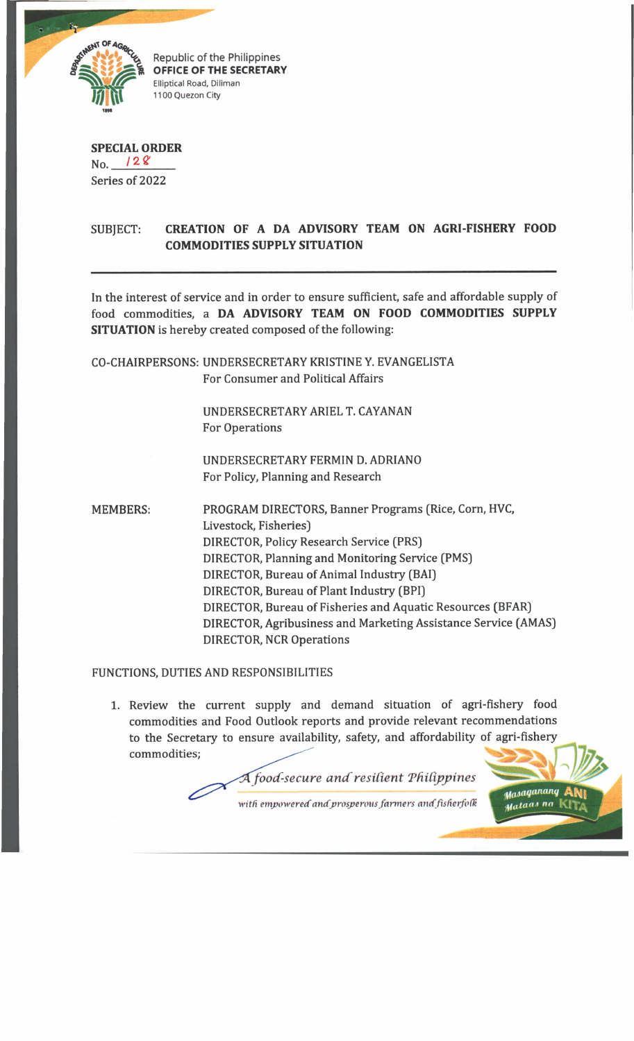

Republic of the Philippines OFFICE OF THE SECRETARY Elliptical Road, Diliman 1100 Quezon City

## **SPECIAL ORDER**  $No.$  /28 Series of 2022

## SUBJECT: **CREATION OF A DA ADVISORY TEAM ON AGRI-FISHERY FOOD COMMODITIES SUPPLY SITUATION**

In the interest of service and in order to ensure sufficient, safe and affordable supply of food commodities, a **DA ADVISORY TEAM ON FOOD COMMODITIES SUPPLY SITUATION** is hereby created composed of the following:

CO-CHAIRPERSONS: UNDERSECRETARY KRISTINE Y. EVANGELISTA For Consumer and Political Affairs

> UNDERSECRETARY ARIEL T. CAYANAN For Operations

UNDERSECRETARY FERMIN D. ADRIANO For Policy, Planning and Research

Livestock, Fisheries] DIRECTOR, Policy Research Service (PRS] DIRECTOR, Planning and Monitoring Service (PMS] DIRECTOR, Bureau of Animal Industry (BAI) DIRECTOR, Bureau of Plant Industry (BPI) DIRECTOR, Bureau of Fisheries and Aquatic Resources (BFAR) DIRECTOR, Agribusiness and Marketing Assistance Service (AMAS) DIRECTOR, NCR Operations MEMBERS: PROGRAM DIRECTORS, Banner Programs (Rice, Corn, HVC,

## FUNCTIONS, DUTIES AND RESPONSIBILITIES

1. Review the current supply and demand situation of agri-fishery food commodities and Food Outlook reports and provide relevant recommendations to the Secretary to ensure availability, safety, and affordability of agri-fishery commodities;

*A food-secure and resilient Philippines* 

with empowered and prosperous farmers and fisherfolk

Masaganang Mataas na